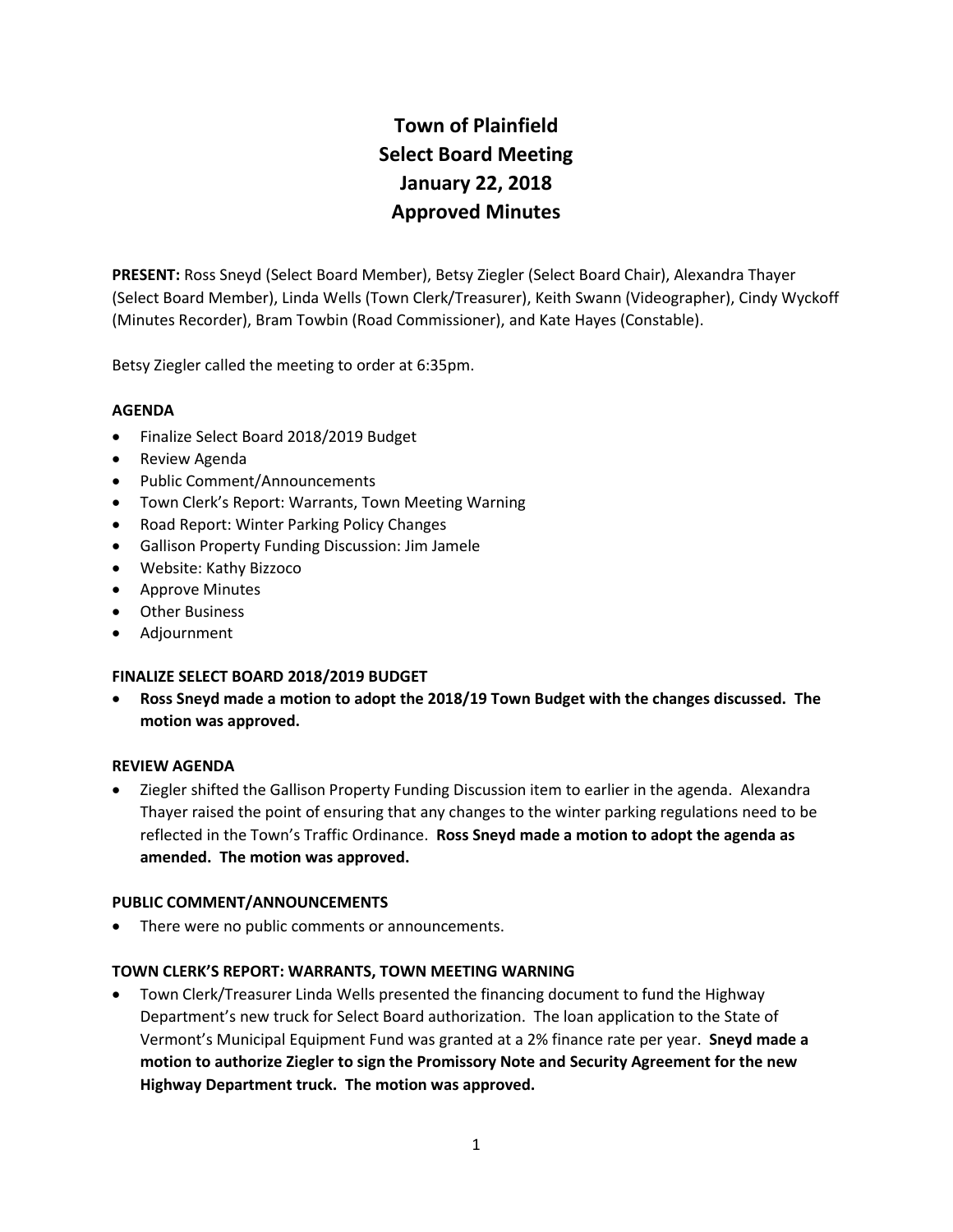# **Town of Plainfield Select Board Meeting January 22, 2018 Approved Minutes**

**PRESENT:** Ross Sneyd (Select Board Member), Betsy Ziegler (Select Board Chair), Alexandra Thayer (Select Board Member), Linda Wells (Town Clerk/Treasurer), Keith Swann (Videographer), Cindy Wyckoff (Minutes Recorder), Bram Towbin (Road Commissioner), and Kate Hayes (Constable).

Betsy Ziegler called the meeting to order at 6:35pm.

# **AGENDA**

- Finalize Select Board 2018/2019 Budget
- Review Agenda
- Public Comment/Announcements
- Town Clerk's Report: Warrants, Town Meeting Warning
- Road Report: Winter Parking Policy Changes
- Gallison Property Funding Discussion: Jim Jamele
- Website: Kathy Bizzoco
- Approve Minutes
- Other Business
- Adjournment

# **FINALIZE SELECT BOARD 2018/2019 BUDGET**

 **Ross Sneyd made a motion to adopt the 2018/19 Town Budget with the changes discussed. The motion was approved.**

# **REVIEW AGENDA**

 Ziegler shifted the Gallison Property Funding Discussion item to earlier in the agenda. Alexandra Thayer raised the point of ensuring that any changes to the winter parking regulations need to be reflected in the Town's Traffic Ordinance. **Ross Sneyd made a motion to adopt the agenda as amended. The motion was approved.**

# **PUBLIC COMMENT/ANNOUNCEMENTS**

There were no public comments or announcements.

# **TOWN CLERK'S REPORT: WARRANTS, TOWN MEETING WARNING**

 Town Clerk/Treasurer Linda Wells presented the financing document to fund the Highway Department's new truck for Select Board authorization. The loan application to the State of Vermont's Municipal Equipment Fund was granted at a 2% finance rate per year. **Sneyd made a motion to authorize Ziegler to sign the Promissory Note and Security Agreement for the new Highway Department truck. The motion was approved.**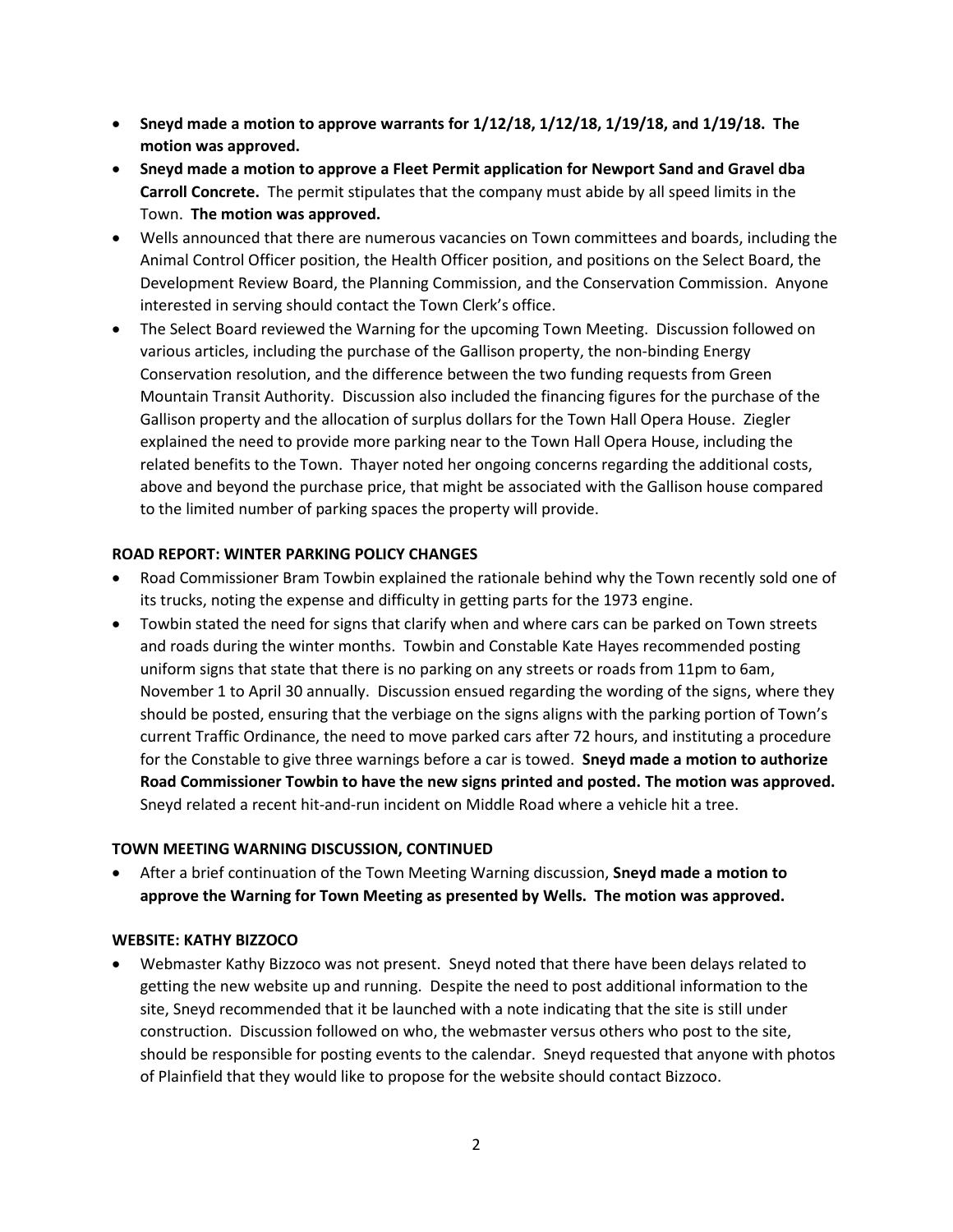- **Sneyd made a motion to approve warrants for 1/12/18, 1/12/18, 1/19/18, and 1/19/18. The motion was approved.**
- **Sneyd made a motion to approve a Fleet Permit application for Newport Sand and Gravel dba Carroll Concrete.** The permit stipulates that the company must abide by all speed limits in the Town. **The motion was approved.**
- Wells announced that there are numerous vacancies on Town committees and boards, including the Animal Control Officer position, the Health Officer position, and positions on the Select Board, the Development Review Board, the Planning Commission, and the Conservation Commission. Anyone interested in serving should contact the Town Clerk's office.
- The Select Board reviewed the Warning for the upcoming Town Meeting. Discussion followed on various articles, including the purchase of the Gallison property, the non-binding Energy Conservation resolution, and the difference between the two funding requests from Green Mountain Transit Authority. Discussion also included the financing figures for the purchase of the Gallison property and the allocation of surplus dollars for the Town Hall Opera House. Ziegler explained the need to provide more parking near to the Town Hall Opera House, including the related benefits to the Town. Thayer noted her ongoing concerns regarding the additional costs, above and beyond the purchase price, that might be associated with the Gallison house compared to the limited number of parking spaces the property will provide.

# **ROAD REPORT: WINTER PARKING POLICY CHANGES**

- Road Commissioner Bram Towbin explained the rationale behind why the Town recently sold one of its trucks, noting the expense and difficulty in getting parts for the 1973 engine.
- Towbin stated the need for signs that clarify when and where cars can be parked on Town streets and roads during the winter months. Towbin and Constable Kate Hayes recommended posting uniform signs that state that there is no parking on any streets or roads from 11pm to 6am, November 1 to April 30 annually. Discussion ensued regarding the wording of the signs, where they should be posted, ensuring that the verbiage on the signs aligns with the parking portion of Town's current Traffic Ordinance, the need to move parked cars after 72 hours, and instituting a procedure for the Constable to give three warnings before a car is towed. **Sneyd made a motion to authorize Road Commissioner Towbin to have the new signs printed and posted. The motion was approved.** Sneyd related a recent hit-and-run incident on Middle Road where a vehicle hit a tree.

#### **TOWN MEETING WARNING DISCUSSION, CONTINUED**

 After a brief continuation of the Town Meeting Warning discussion, **Sneyd made a motion to approve the Warning for Town Meeting as presented by Wells. The motion was approved.** 

#### **WEBSITE: KATHY BIZZOCO**

 Webmaster Kathy Bizzoco was not present. Sneyd noted that there have been delays related to getting the new website up and running. Despite the need to post additional information to the site, Sneyd recommended that it be launched with a note indicating that the site is still under construction. Discussion followed on who, the webmaster versus others who post to the site, should be responsible for posting events to the calendar. Sneyd requested that anyone with photos of Plainfield that they would like to propose for the website should contact Bizzoco.